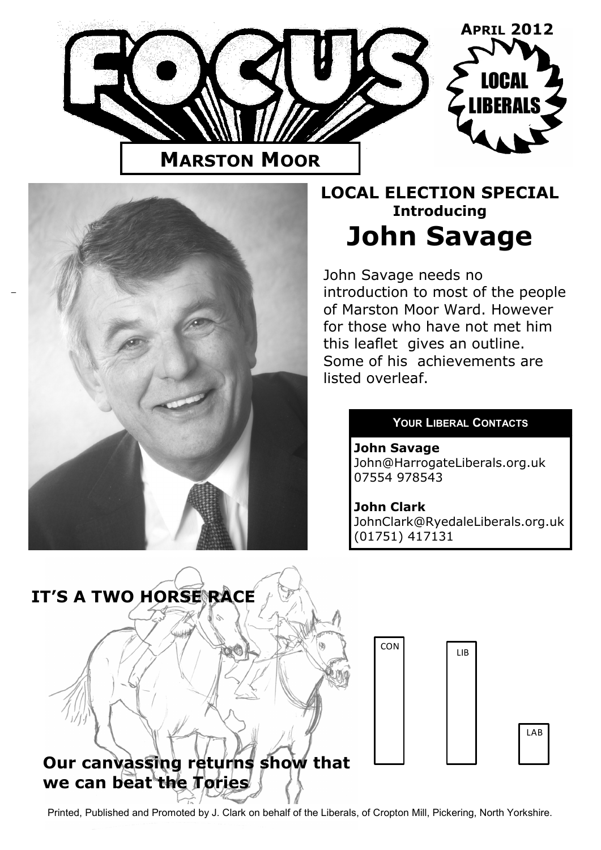



## **LOCAL ELECTION SPECIAL Introducing John Savage**

John Savage needs no introduction to most of the people of Marston Moor Ward. However for those who have not met him this leaflet gives an outline. Some of his achievements are listed overleaf.

#### **YOUR LIBERAL CONTACTS**

**John Savage** John@HarrogateLiberals.org.uk 07554 978543

#### **John Clark** JohnClark@RyedaleLiberals.org.uk (01751) 417131

**CON** 







Printed, Published and Promoted by J. Clark on behalf of the Liberals, of Cropton Mill, Pickering, North Yorkshire.